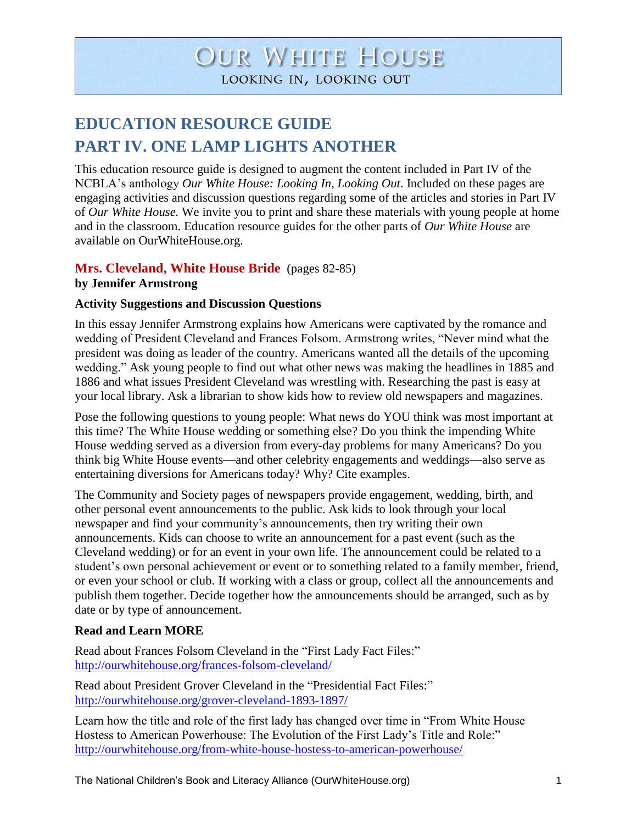# **OUR WHITE HOUSE** LOOKING IN, LOOKING OUT

## **EDUCATION RESOURCE GUIDE PART IV. ONE LAMP LIGHTS ANOTHER**

This education resource guide is designed to augment the content included in Part IV of the NCBLA's anthology *Our White House: Looking In, Looking Out*. Included on these pages are engaging activities and discussion questions regarding some of the articles and stories in Part IV of *Our White House.* We invite you to print and share these materials with young people at home and in the classroom. Education resource guides for the other parts of *Our White House* are available on OurWhiteHouse.org.

#### **Mrs. Cleveland, White House Bride** (pages 82-85) **by Jennifer Armstrong**

#### **Activity Suggestions and Discussion Questions**

In this essay Jennifer Armstrong explains how Americans were captivated by the romance and wedding of President Cleveland and Frances Folsom. Armstrong writes, "Never mind what the president was doing as leader of the country. Americans wanted all the details of the upcoming wedding." Ask young people to find out what other news was making the headlines in 1885 and 1886 and what issues President Cleveland was wrestling with. Researching the past is easy at your local library. Ask a librarian to show kids how to review old newspapers and magazines.

Pose the following questions to young people: What news do YOU think was most important at this time? The White House wedding or something else? Do you think the impending White House wedding served as a diversion from every-day problems for many Americans? Do you think big White House events—and other celebrity engagements and weddings—also serve as entertaining diversions for Americans today? Why? Cite examples.

The Community and Society pages of newspapers provide engagement, wedding, birth, and other personal event announcements to the public. Ask kids to look through your local newspaper and find your community's announcements, then try writing their own announcements. Kids can choose to write an announcement for a past event (such as the Cleveland wedding) or for an event in your own life. The announcement could be related to a student's own personal achievement or event or to something related to a family member, friend, or even your school or club. If working with a class or group, collect all the announcements and publish them together. Decide together how the announcements should be arranged, such as by date or by type of announcement.

#### **Read and Learn MORE**

Read about Frances Folsom Cleveland in the "First Lady Fact Files:" <http://ourwhitehouse.org/frances-folsom-cleveland/>

Read about President Grover Cleveland in the "Presidential Fact Files:" <http://ourwhitehouse.org/grover-cleveland-1893-1897/>

Learn how the title and role of the first lady has changed over time in "From White House Hostess to American Powerhouse: The Evolution of the First Lady's Title and Role:" <http://ourwhitehouse.org/from-white-house-hostess-to-american-powerhouse/>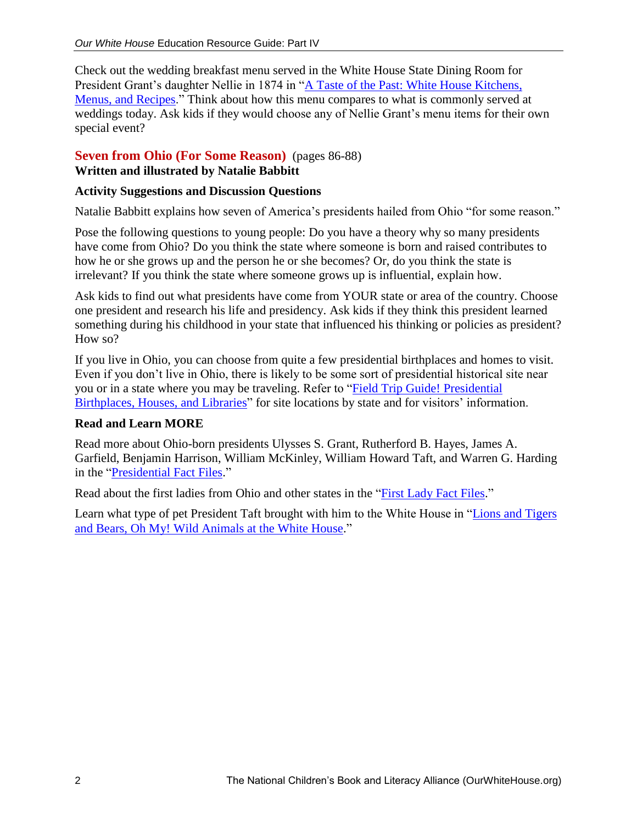Check out the wedding breakfast menu served in the White House State Dining Room for President Grant's daughter Nellie in 1874 in ["A Taste of the Past: White House Kitchens,](http://ourwhitehouse.org/a-taste-of-the-past/)  [Menus, and Recipes.](http://ourwhitehouse.org/a-taste-of-the-past/)" Think about how this menu compares to what is commonly served at weddings today. Ask kids if they would choose any of Nellie Grant's menu items for their own special event?

#### **Seven from Ohio (For Some Reason)** (pages 86-88) **Written and illustrated by Natalie Babbitt**

#### **Activity Suggestions and Discussion Questions**

Natalie Babbitt explains how seven of America's presidents hailed from Ohio "for some reason."

Pose the following questions to young people: Do you have a theory why so many presidents have come from Ohio? Do you think the state where someone is born and raised contributes to how he or she grows up and the person he or she becomes? Or, do you think the state is irrelevant? If you think the state where someone grows up is influential, explain how.

Ask kids to find out what presidents have come from YOUR state or area of the country. Choose one president and research his life and presidency. Ask kids if they think this president learned something during his childhood in your state that influenced his thinking or policies as president? How so?

If you live in Ohio, you can choose from quite a few presidential birthplaces and homes to visit. Even if you don't live in Ohio, there is likely to be some sort of presidential historical site near you or in a state where you may be traveling. Refer to ["Field Trip Guide! Presidential](http://ourwhitehouse.org/field-trip-guide-presidential-birthplaces-houses-and-libraries/)  [Birthplaces, Houses, and Libraries"](http://ourwhitehouse.org/field-trip-guide-presidential-birthplaces-houses-and-libraries/) for site locations by state and for visitors' information.

#### **Read and Learn MORE**

Read more about Ohio-born presidents Ulysses S. Grant, Rutherford B. Hayes, James A. Garfield, Benjamin Harrison, William McKinley, William Howard Taft, and Warren G. Harding in the ["Presidential Fact Files.](http://ourwhitehouse.org/presidential-facts/)"

Read about the first ladies from Ohio and other states in the ["First Lady Fact Files.](http://ourwhitehouse.org/first-lady-fact-files/)"

Learn what type of pet President Taft brought with him to the White House in "Lions and Tigers" [and Bears, Oh My! Wild Animals at the White House.](http://ourwhitehouse.org/lions-and-tigers-and-bear-oh-my-wild-animals-at-the-white-house/)"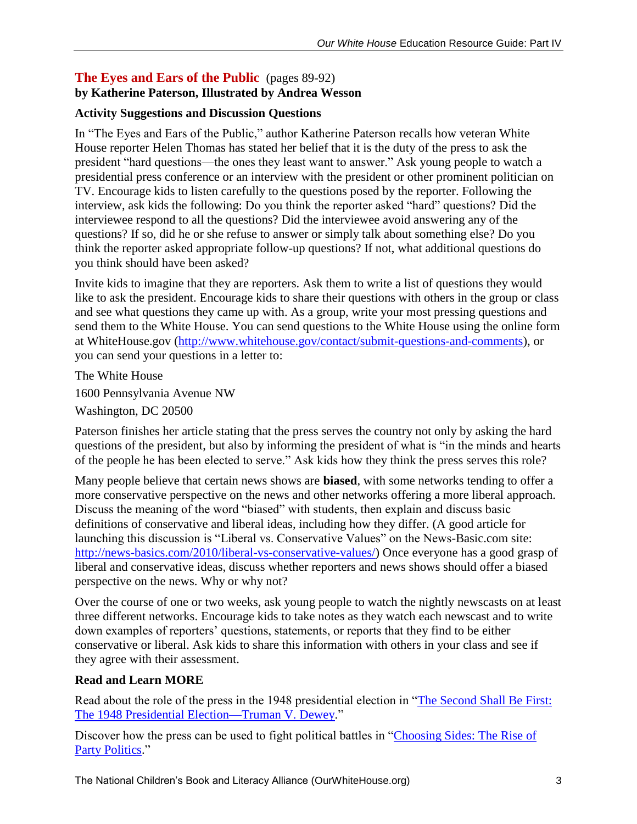#### **The Eyes and Ears of the Public** (pages 89-92) **by Katherine Paterson, Illustrated by Andrea Wesson**

#### **Activity Suggestions and Discussion Questions**

In "The Eyes and Ears of the Public," author Katherine Paterson recalls how veteran White House reporter Helen Thomas has stated her belief that it is the duty of the press to ask the president "hard questions—the ones they least want to answer." Ask young people to watch a presidential press conference or an interview with the president or other prominent politician on TV. Encourage kids to listen carefully to the questions posed by the reporter. Following the interview, ask kids the following: Do you think the reporter asked "hard" questions? Did the interviewee respond to all the questions? Did the interviewee avoid answering any of the questions? If so, did he or she refuse to answer or simply talk about something else? Do you think the reporter asked appropriate follow-up questions? If not, what additional questions do you think should have been asked?

Invite kids to imagine that they are reporters. Ask them to write a list of questions they would like to ask the president. Encourage kids to share their questions with others in the group or class and see what questions they came up with. As a group, write your most pressing questions and send them to the White House. You can send questions to the White House using the online form at WhiteHouse.gov [\(http://www.whitehouse.gov/contact/submit-questions-and-comments\)](http://www.whitehouse.gov/contact/submit-questions-and-comments), or you can send your questions in a letter to:

The White House 1600 Pennsylvania Avenue NW Washington, DC 20500

Paterson finishes her article stating that the press serves the country not only by asking the hard questions of the president, but also by informing the president of what is "in the minds and hearts of the people he has been elected to serve." Ask kids how they think the press serves this role?

Many people believe that certain news shows are **biased**, with some networks tending to offer a more conservative perspective on the news and other networks offering a more liberal approach. Discuss the meaning of the word "biased" with students, then explain and discuss basic definitions of conservative and liberal ideas, including how they differ. (A good article for launching this discussion is "Liberal vs. Conservative Values" on the News-Basic.com site: [http://news-basics.com/2010/liberal-vs-conservative-values/\)](http://news-basics.com/2010/liberal-vs-conservative-values/) Once everyone has a good grasp of liberal and conservative ideas, discuss whether reporters and news shows should offer a biased perspective on the news. Why or why not?

Over the course of one or two weeks, ask young people to watch the nightly newscasts on at least three different networks. Encourage kids to take notes as they watch each newscast and to write down examples of reporters' questions, statements, or reports that they find to be either conservative or liberal. Ask kids to share this information with others in your class and see if they agree with their assessment.

#### **Read and Learn MORE**

Read about the role of the press in the 1948 presidential election in ["The Second Shall Be First:](http://ourwhitehouse.org/the-second-shall-be-first/)  [The 1948 Presidential Election—Truman V. Dewey.](http://ourwhitehouse.org/the-second-shall-be-first/)"

Discover how the press can be used to fight political battles in "Choosing Sides: The Rise of [Party Politics.](http://ourwhitehouse.org/choosing-sides-the-rise-of-party-politics/)"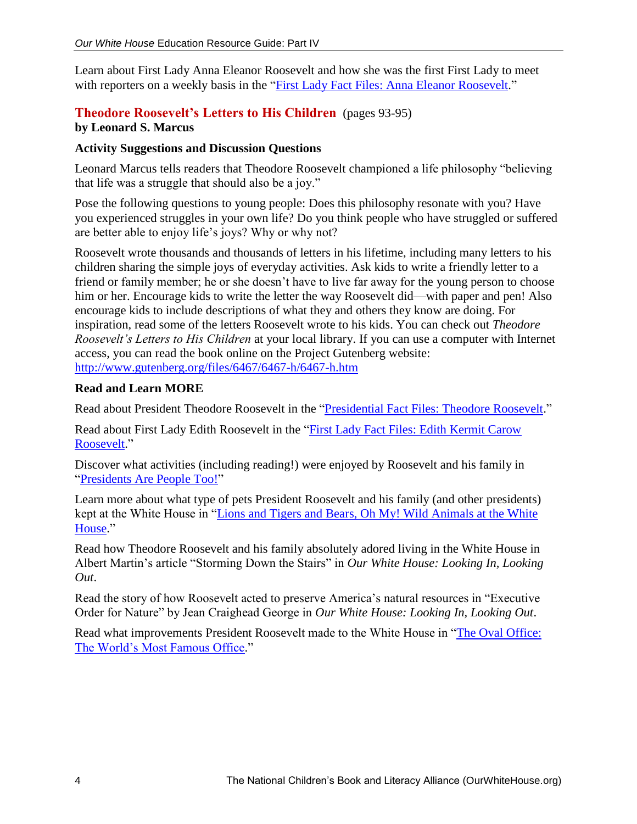Learn about First Lady Anna Eleanor Roosevelt and how she was the first First Lady to meet with reporters on a weekly basis in the ["First Lady Fact Files: Anna Eleanor Roosevelt.](http://ourwhitehouse.org/anna-eleanor-roosevelt/)"

### **Theodore Roosevelt's Letters to His Children** (pages 93-95)

#### **by Leonard S. Marcus**

#### **Activity Suggestions and Discussion Questions**

Leonard Marcus tells readers that Theodore Roosevelt championed a life philosophy "believing that life was a struggle that should also be a joy."

Pose the following questions to young people: Does this philosophy resonate with you? Have you experienced struggles in your own life? Do you think people who have struggled or suffered are better able to enjoy life's joys? Why or why not?

Roosevelt wrote thousands and thousands of letters in his lifetime, including many letters to his children sharing the simple joys of everyday activities. Ask kids to write a friendly letter to a friend or family member; he or she doesn't have to live far away for the young person to choose him or her. Encourage kids to write the letter the way Roosevelt did—with paper and pen! Also encourage kids to include descriptions of what they and others they know are doing. For inspiration, read some of the letters Roosevelt wrote to his kids. You can check out *Theodore Roosevelt's Letters to His Children* at your local library. If you can use a computer with Internet access, you can read the book online on the Project Gutenberg website: <http://www.gutenberg.org/files/6467/6467-h/6467-h.htm>

#### **Read and Learn MORE**

Read about President Theodore Roosevelt in the ["Presidential Fact Files:](http://ourwhitehouse.org/theodore-roosevelt-1901-1909/) Theodore Roosevelt."

Read about First Lady Edith Roosevelt in the ["First Lady Fact Files: Edith Kermit Carow](http://ourwhitehouse.org/edith-kermit-carow-roosevelt/)  [Roosevelt.](http://ourwhitehouse.org/edith-kermit-carow-roosevelt/)"

Discover what activities (including reading!) were enjoyed by Roosevelt and his family in ["Presidents Are People Too!"](http://dev.owh.jakeandco.com/presidents-are-people-too/)

Learn more about what type of pets President Roosevelt and his family (and other presidents) kept at the White House in ["Lions and Tigers and Bears, Oh My! Wild Animals at the White](http://ourwhitehouse.org/lions-and-tigers-and-bear-oh-my-wild-animals-at-the-white-house/)  [House.](http://ourwhitehouse.org/lions-and-tigers-and-bear-oh-my-wild-animals-at-the-white-house/)"

Read how Theodore Roosevelt and his family absolutely adored living in the White House in Albert Martin's article "Storming Down the Stairs" in *Our White House: Looking In, Looking Out*.

Read the story of how Roosevelt acted to preserve America's natural resources in "Executive Order for Nature" by Jean Craighead George in *Our White House: Looking In, Looking Out*.

Read what improvements President Roosevelt made to the White House in ["The Oval Office:](http://ourwhitehouse.org/the-oval-office-the-worlds-most-famous-office/)  [The World's Most Famous Office.](http://ourwhitehouse.org/the-oval-office-the-worlds-most-famous-office/)"